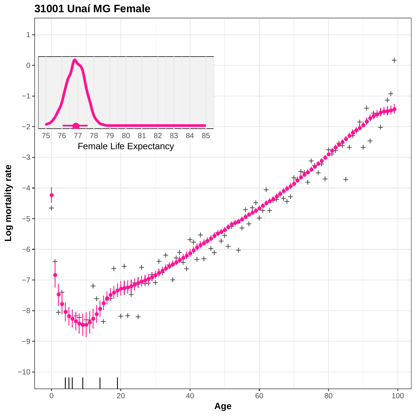

**31001 Unaí MG Female**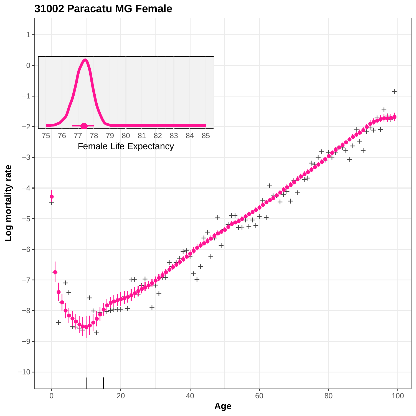

### **31002 Paracatu MG Female**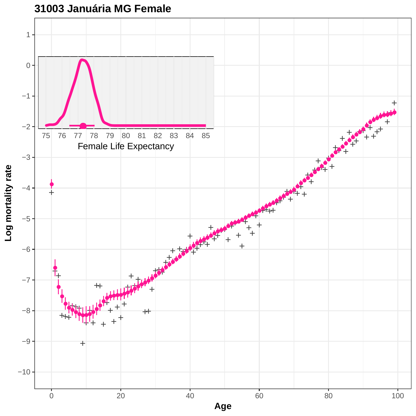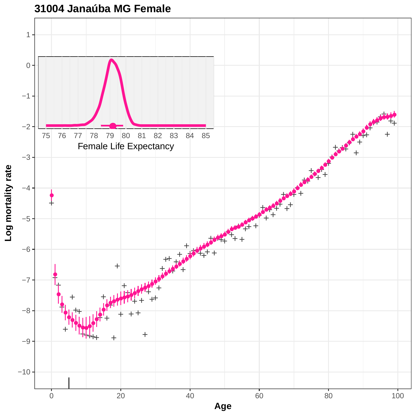

**31004 Janaúba MG Female**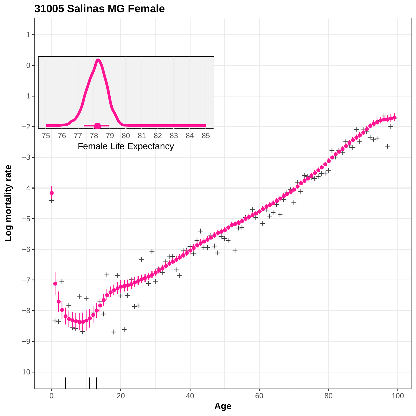

**31005 Salinas MG Female**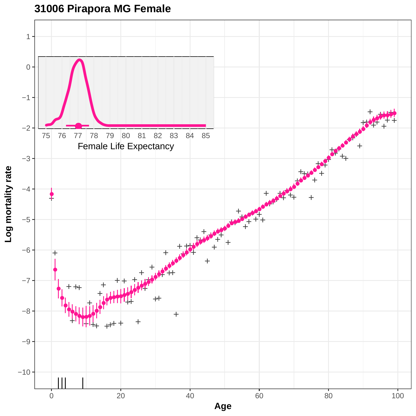**31006 Pirapora MG Female**

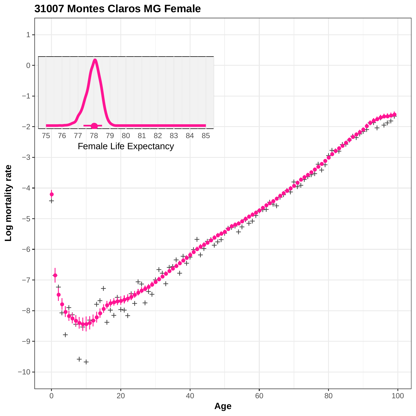

**31007 Montes Claros MG Female**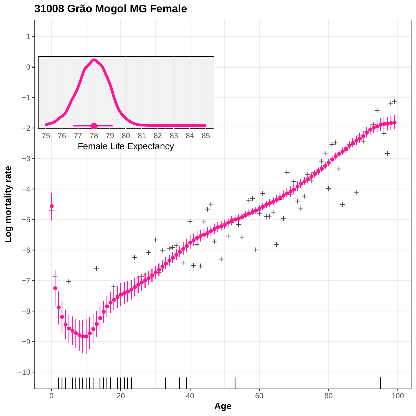

**31008 Grão Mogol MG Female**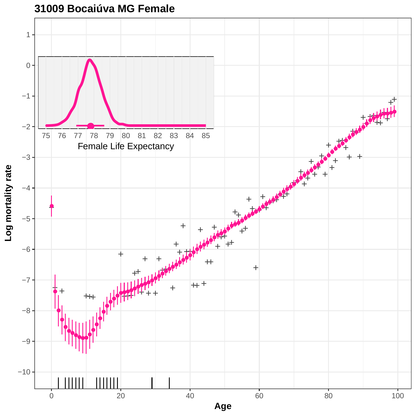

**31009 Bocaiúva MG Female**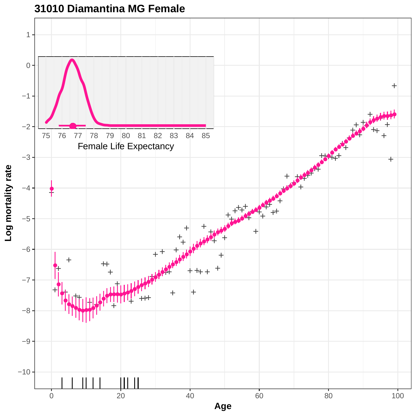

## **31010 Diamantina MG Female**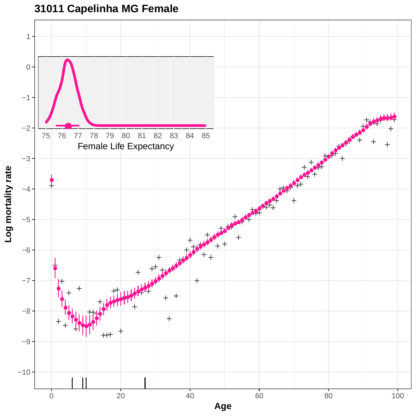

# **31011 Capelinha MG Female**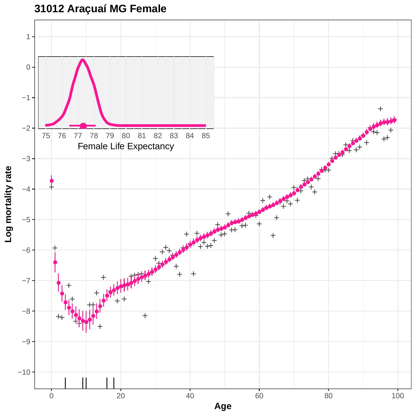**31012 Araçuaí MG Female**

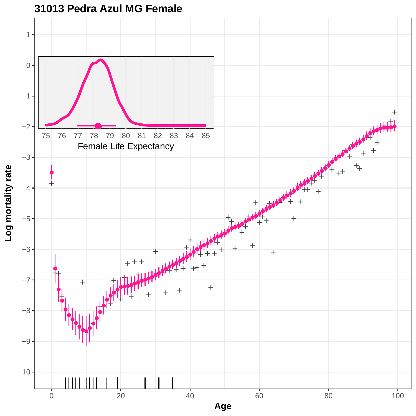

**31013 Pedra Azul MG Female**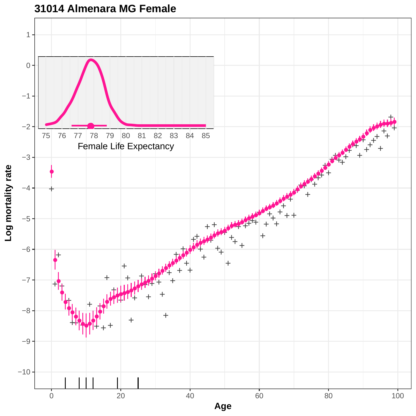

## **31014 Almenara MG Female**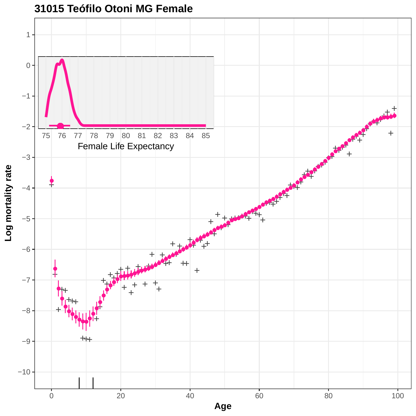

### **31015 Teófilo Otoni MG Female**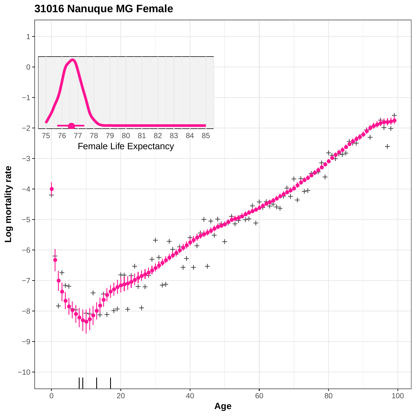

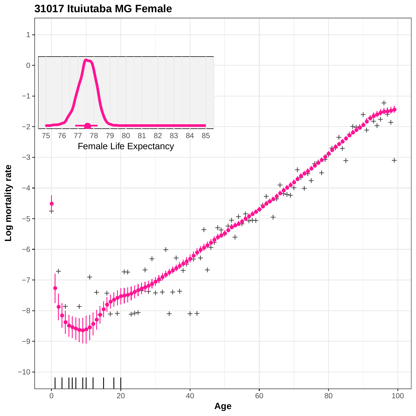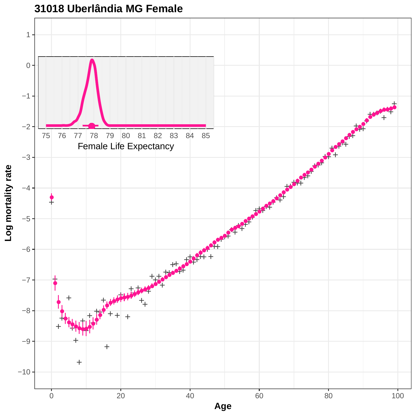

**31018 Uberlândia MG Female**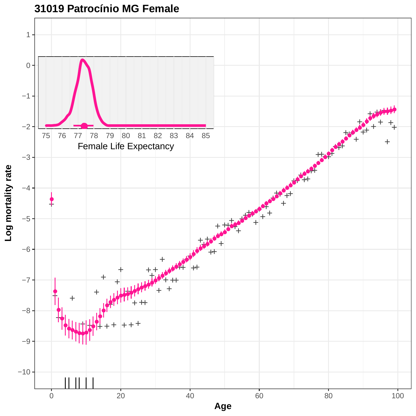

**31019 Patrocínio MG Female**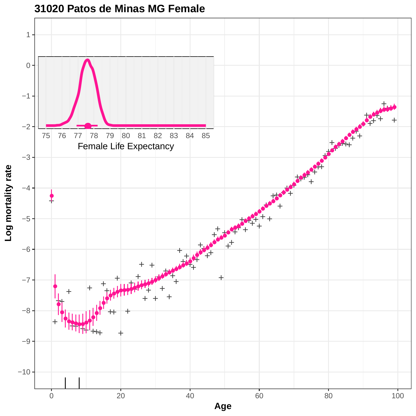

**31020 Patos de Minas MG Female**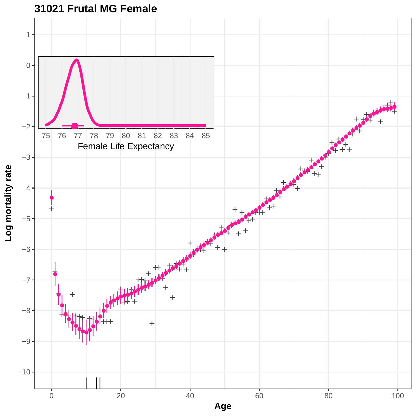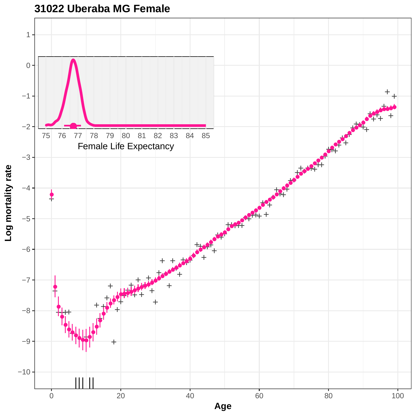

### **31022 Uberaba MG Female**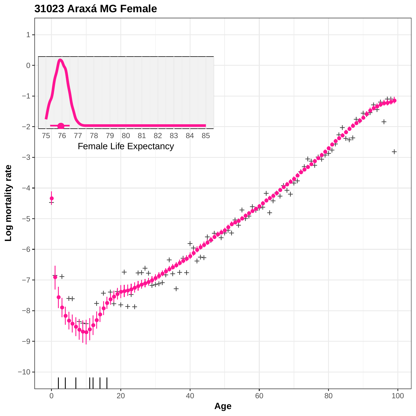

# **31023 Araxá MG Female**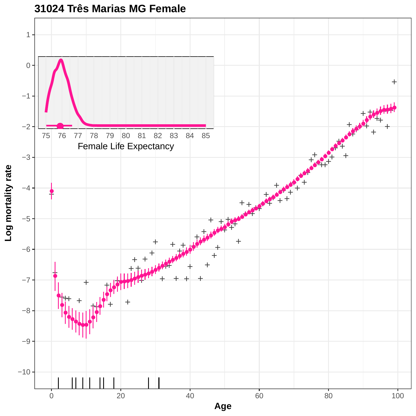

**31024 Três Marias MG Female**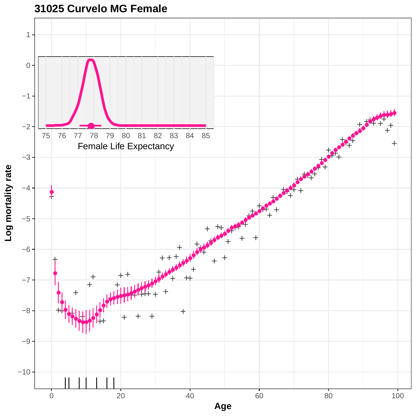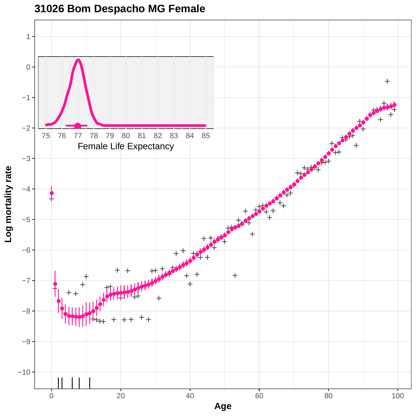

### **31026 Bom Despacho MG Female**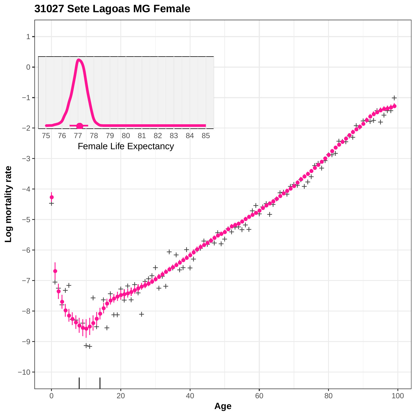

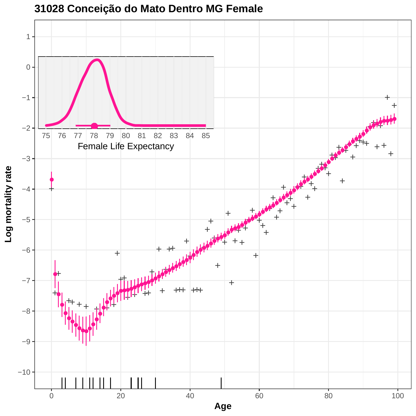

**31028 Conceição do Mato Dentro MG Female**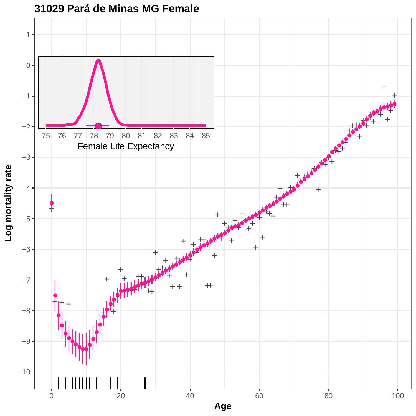

### **31029 Pará de Minas MG Female**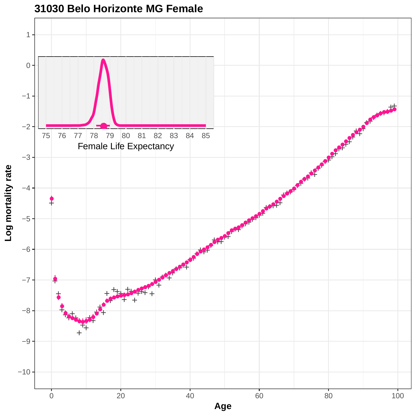

### **31030 Belo Horizonte MG Female**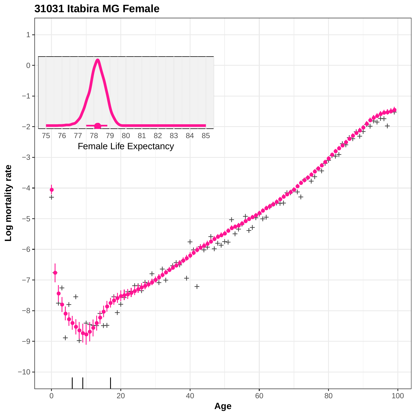

## **31031 Itabira MG Female**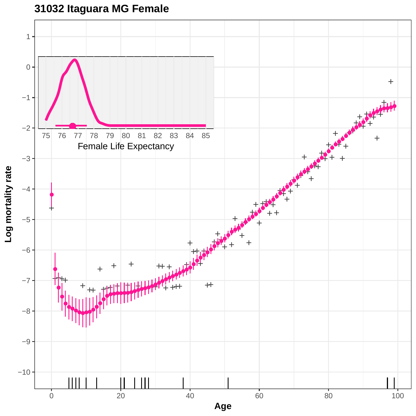

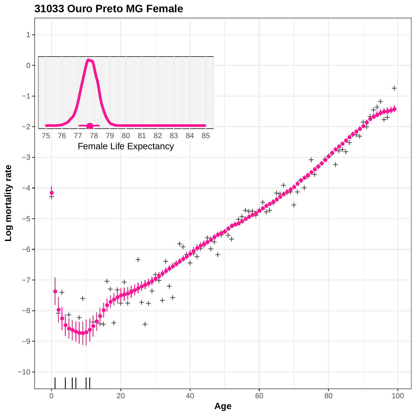

# **31033 Ouro Preto MG Female**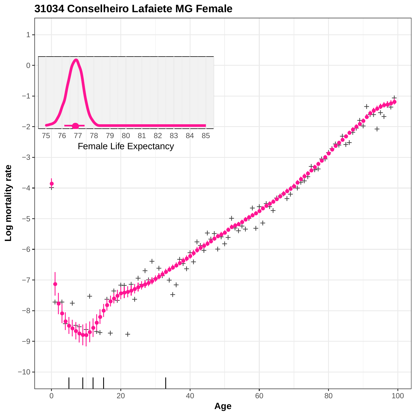

## **31034 Conselheiro Lafaiete MG Female**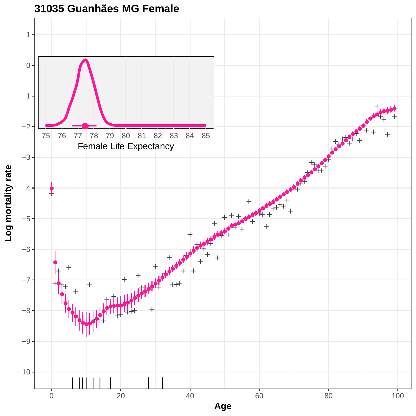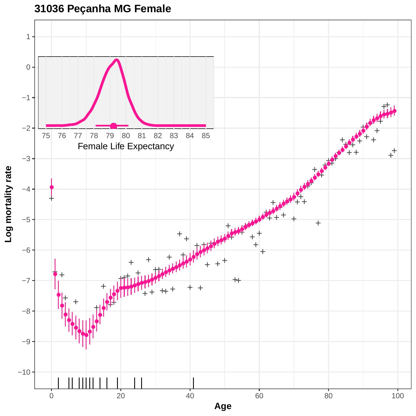

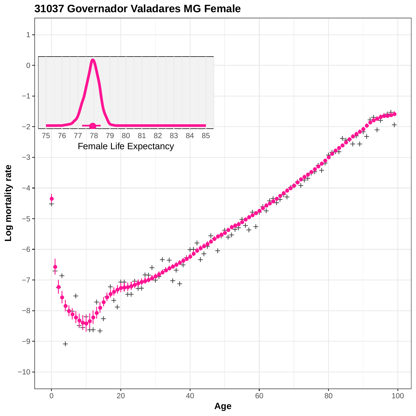

**31037 Governador Valadares MG Female**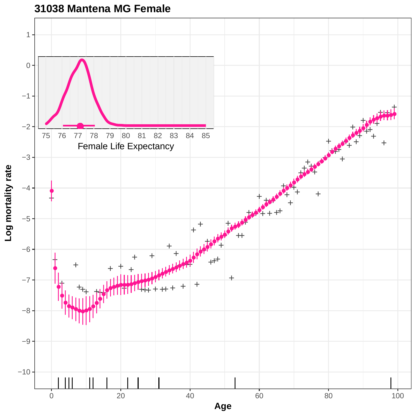

**31038 Mantena MG Female**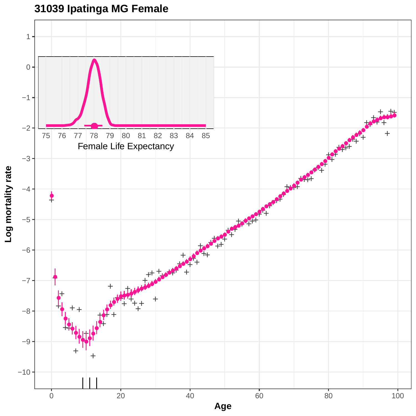

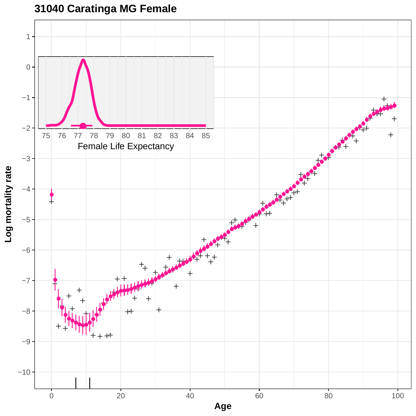

# **31040 Caratinga MG Female**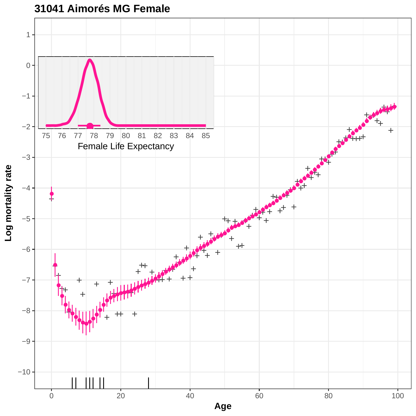

## **31041 Aimorés MG Female**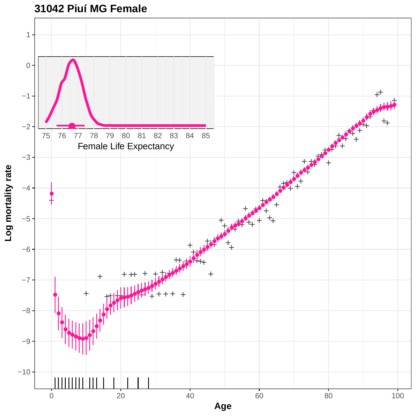

**31042 Piuí MG Female**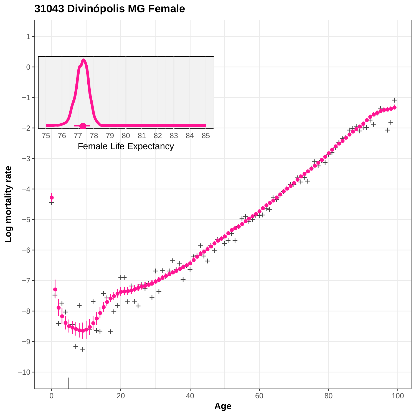

# **31043 Divinópolis MG Female**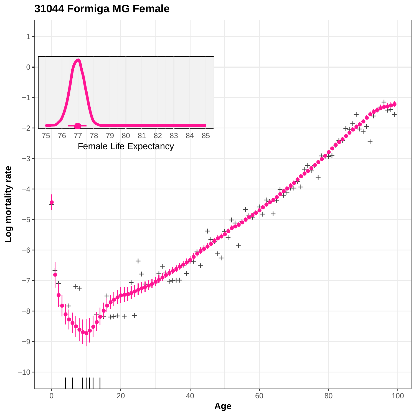

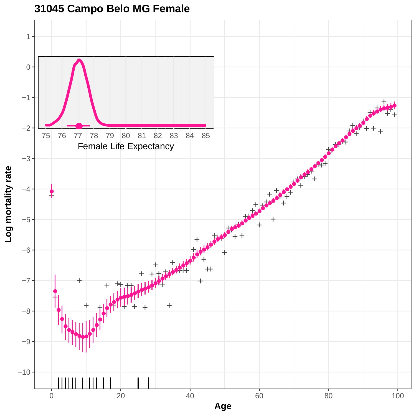

# **31045 Campo Belo MG Female**

0 20 20 40 60 80 80 100 **Age**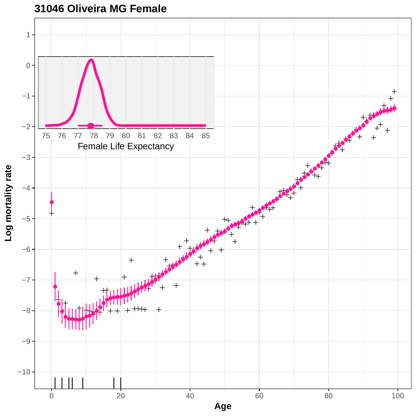

**31046 Oliveira MG Female**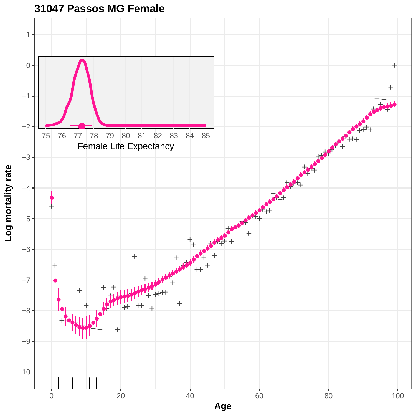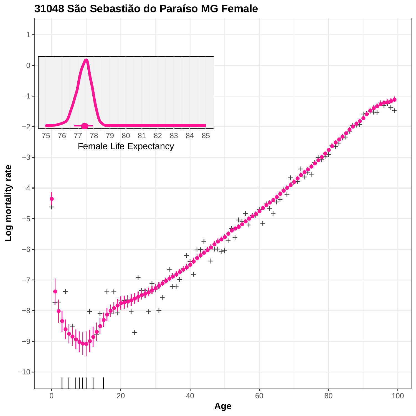

#### **31048 São Sebastião do Paraíso MG Female**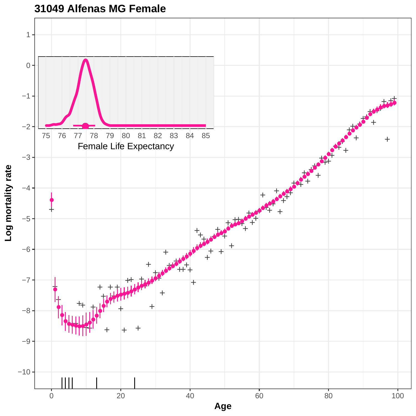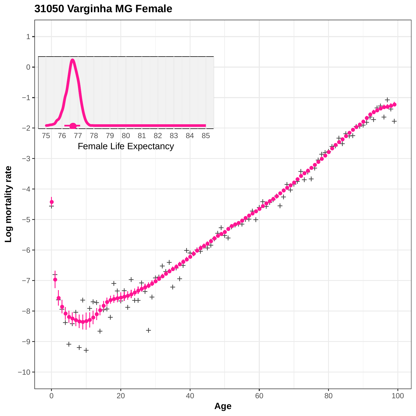

# **31050 Varginha MG Female**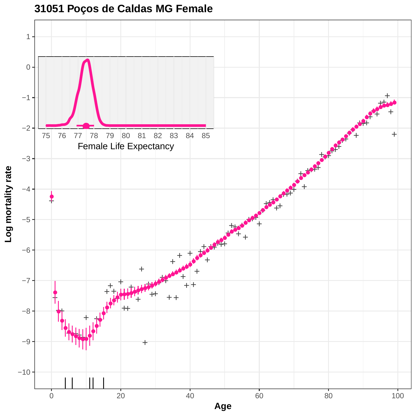

### **31051 Poços de Caldas MG Female**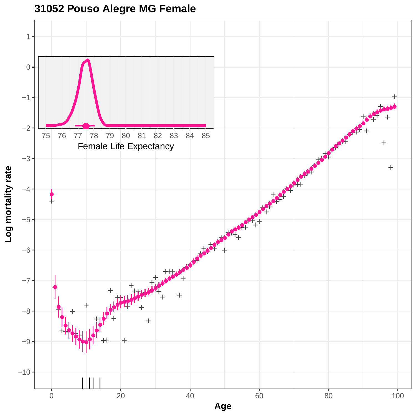

# **31052 Pouso Alegre MG Female**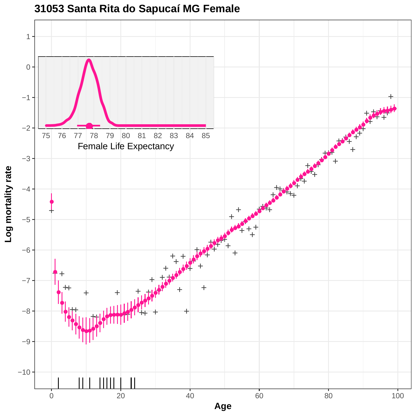

**31053 Santa Rita do Sapucaí MG Female**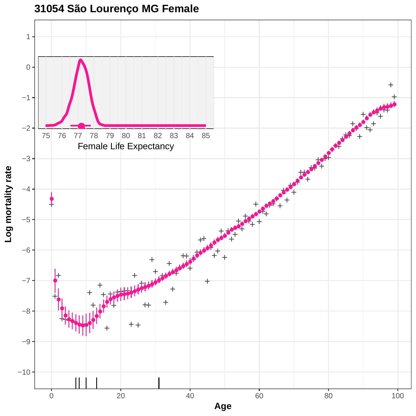

### **31054 São Lourenço MG Female**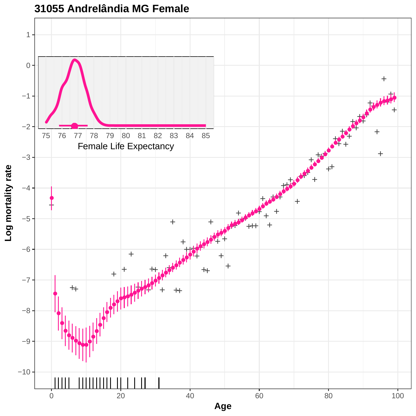

**31055 Andrelândia MG Female**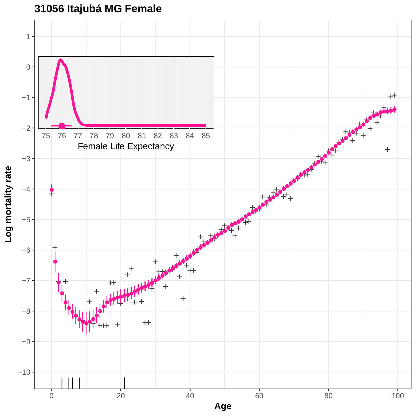# **31056 Itajubá MG Female**

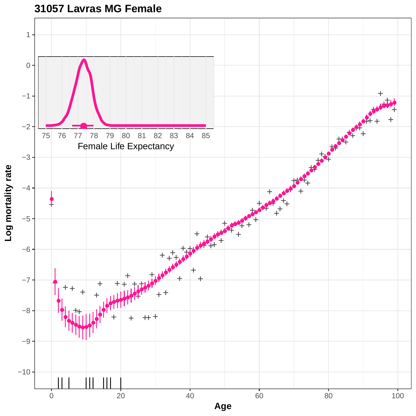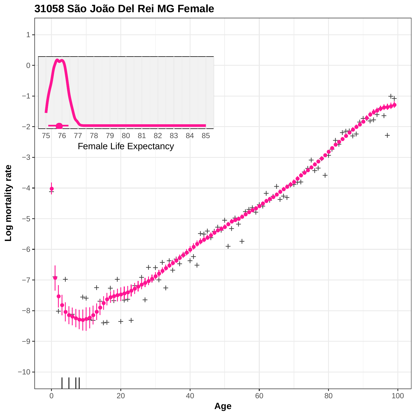

# **31058 São João Del Rei MG Female**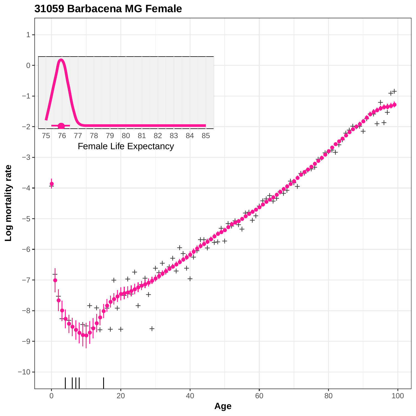

#### **31059 Barbacena MG Female**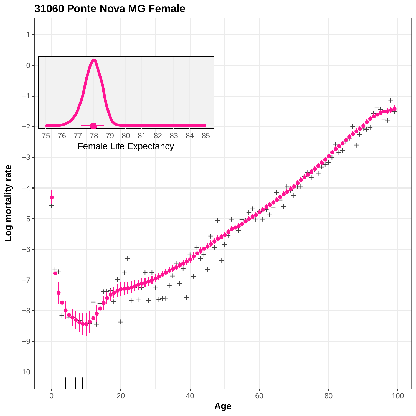

**31060 Ponte Nova MG Female**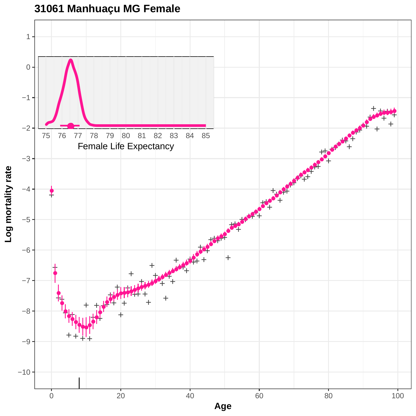

## **31061 Manhuaçu MG Female**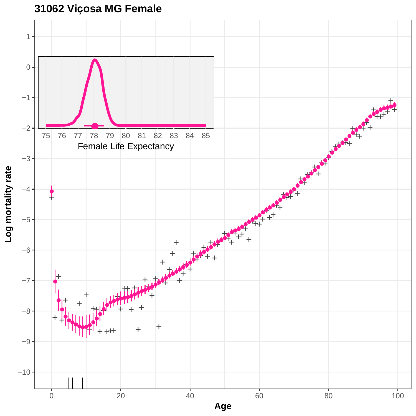# **31062 Viçosa MG Female**

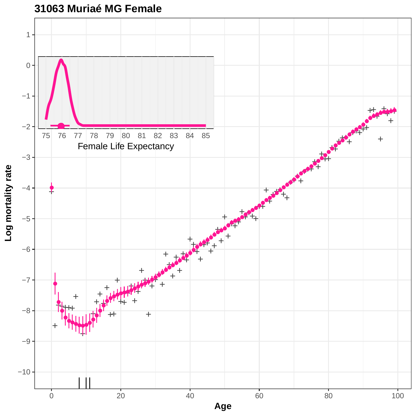

## **31063 Muriaé MG Female**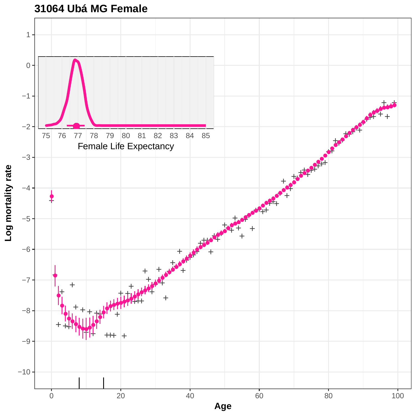

### **31064 Ubá MG Female**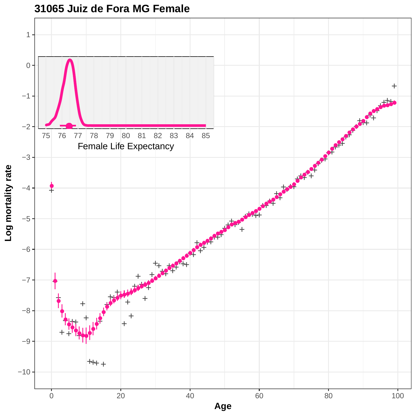

**31065 Juiz de Fora MG Female**